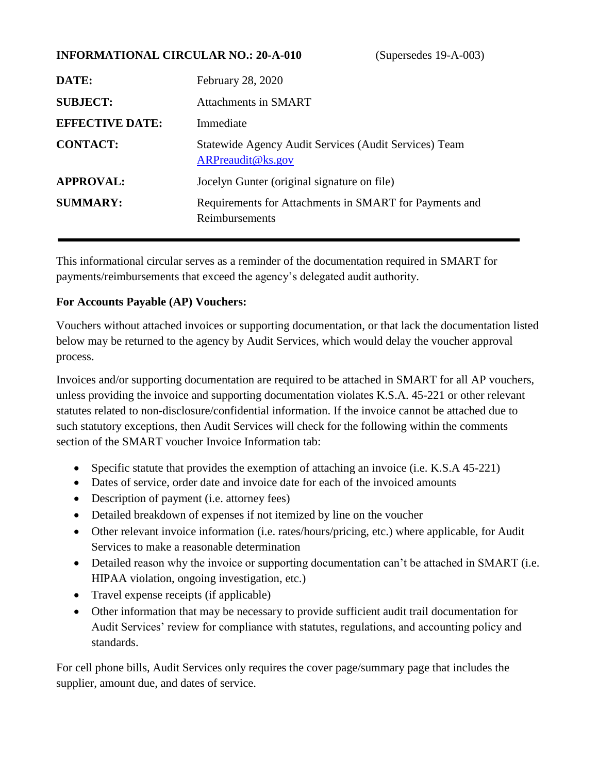#### **INFORMATIONAL CIRCULAR NO.: 20-A-010** (Supersedes 19-A-003)

| DATE:                  | February 28, 2020                                                          |
|------------------------|----------------------------------------------------------------------------|
| <b>SUBJECT:</b>        | <b>Attachments in SMART</b>                                                |
| <b>EFFECTIVE DATE:</b> | Immediate                                                                  |
| <b>CONTACT:</b>        | Statewide Agency Audit Services (Audit Services) Team<br>ARPreaudit@ks.gov |
| <b>APPROVAL:</b>       | Jocelyn Gunter (original signature on file)                                |
| <b>SUMMARY:</b>        | Requirements for Attachments in SMART for Payments and<br>Reimbursements   |

This informational circular serves as a reminder of the documentation required in SMART for payments/reimbursements that exceed the agency's delegated audit authority.

#### **For Accounts Payable (AP) Vouchers:**

Vouchers without attached invoices or supporting documentation, or that lack the documentation listed below may be returned to the agency by Audit Services, which would delay the voucher approval process.

Invoices and/or supporting documentation are required to be attached in SMART for all AP vouchers, unless providing the invoice and supporting documentation violates K.S.A. 45-221 or other relevant statutes related to non-disclosure/confidential information. If the invoice cannot be attached due to such statutory exceptions, then Audit Services will check for the following within the comments section of the SMART voucher Invoice Information tab:

- Specific statute that provides the exemption of attaching an invoice (i.e. K.S.A 45-221)
- Dates of service, order date and invoice date for each of the invoiced amounts
- Description of payment (i.e. attorney fees)
- Detailed breakdown of expenses if not itemized by line on the voucher
- Other relevant invoice information (i.e. rates/hours/pricing, etc.) where applicable, for Audit Services to make a reasonable determination
- Detailed reason why the invoice or supporting documentation can't be attached in SMART (i.e. HIPAA violation, ongoing investigation, etc.)
- Travel expense receipts (if applicable)
- Other information that may be necessary to provide sufficient audit trail documentation for Audit Services' review for compliance with statutes, regulations, and accounting policy and standards.

For cell phone bills, Audit Services only requires the cover page/summary page that includes the supplier, amount due, and dates of service.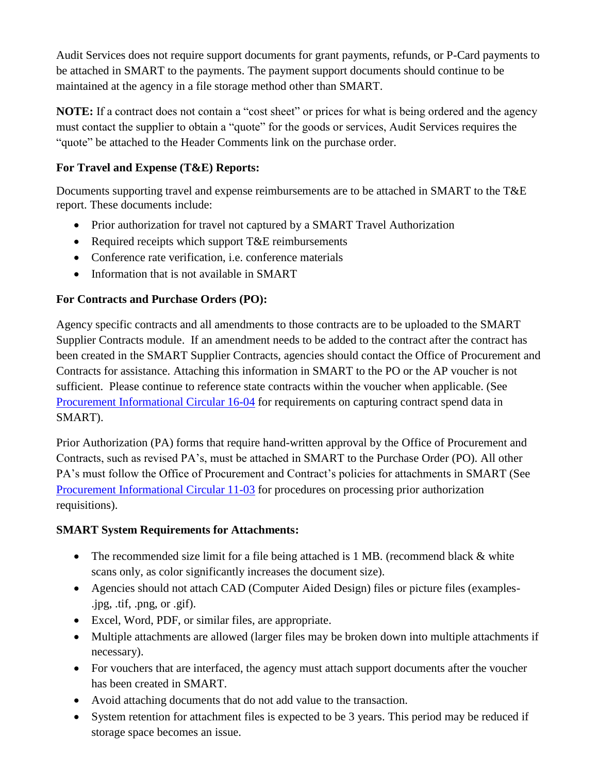Audit Services does not require support documents for grant payments, refunds, or P-Card payments to be attached in SMART to the payments. The payment support documents should continue to be maintained at the agency in a file storage method other than SMART.

**NOTE:** If a contract does not contain a "cost sheet" or prices for what is being ordered and the agency must contact the supplier to obtain a "quote" for the goods or services, Audit Services requires the "quote" be attached to the Header Comments link on the purchase order.

## **For Travel and Expense (T&E) Reports:**

Documents supporting travel and expense reimbursements are to be attached in SMART to the T&E report. These documents include:

- Prior authorization for travel not captured by a SMART Travel Authorization
- Required receipts which support T&E reimbursements
- Conference rate verification, i.e. conference materials
- Information that is not available in SMART

# **For Contracts and Purchase Orders (PO):**

Agency specific contracts and all amendments to those contracts are to be uploaded to the SMART Supplier Contracts module. If an amendment needs to be added to the contract after the contract has been created in the SMART Supplier Contracts, agencies should contact the Office of Procurement and Contracts for assistance. Attaching this information in SMART to the PO or the AP voucher is not sufficient. Please continue to reference state contracts within the voucher when applicable. (See [Procurement Informational Circular 16-04](https://admin.ks.gov/offices/procurement-and-contracts/procurement-informational-circulars) for requirements on capturing contract spend data in SMART).

Prior Authorization (PA) forms that require hand-written approval by the Office of Procurement and Contracts, such as revised PA's, must be attached in SMART to the Purchase Order (PO). All other PA's must follow the Office of Procurement and Contract's policies for attachments in SMART (See [Procurement Informational Circular 11-03](https://admin.ks.gov/offices/procurement-and-contracts/procurement-informational-circulars) for procedures on processing prior authorization requisitions).

## **SMART System Requirements for Attachments:**

- The recommended size limit for a file being attached is  $1 \text{ MB}$ . (recommend black  $\&$  white scans only, as color significantly increases the document size).
- Agencies should not attach CAD (Computer Aided Design) files or picture files (examples-.jpg, .tif, .png, or .gif).
- Excel, Word, PDF, or similar files, are appropriate.
- Multiple attachments are allowed (larger files may be broken down into multiple attachments if necessary).
- For vouchers that are interfaced, the agency must attach support documents after the voucher has been created in SMART.
- Avoid attaching documents that do not add value to the transaction.
- System retention for attachment files is expected to be 3 years. This period may be reduced if storage space becomes an issue.